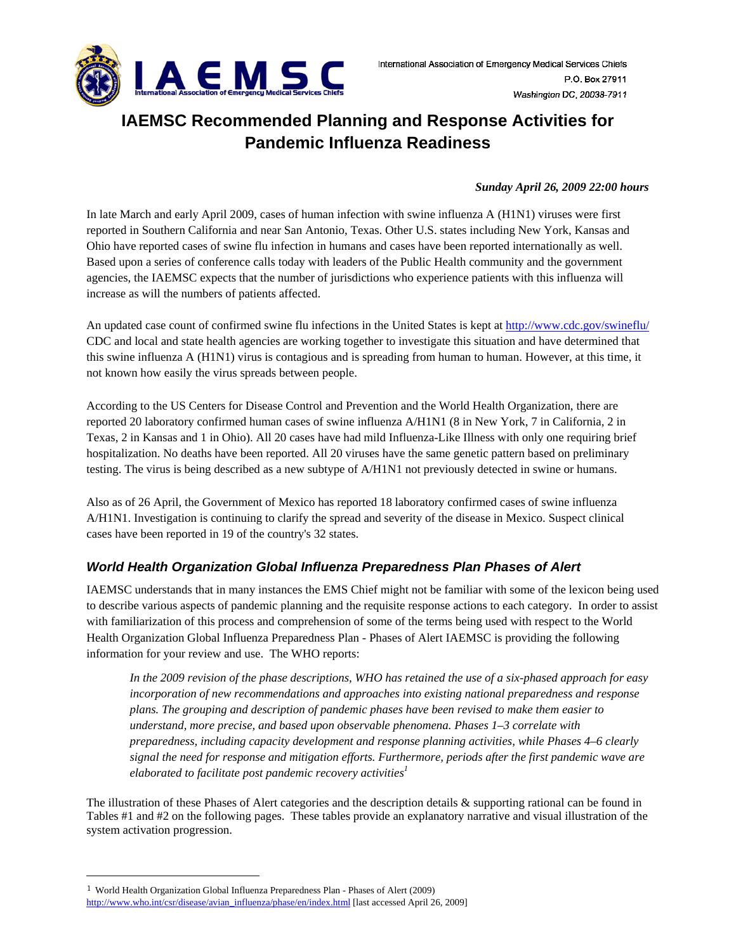

# **IAEMSC Recommended Planning and Response Activities for Pandemic Influenza Readiness**

#### *Sunday April 26, 2009 22:00 hours*

In late March and early April 2009, cases of human infection with swine influenza A (H1N1) viruses were first reported in Southern California and near San Antonio, Texas. Other U.S. states including New York, Kansas and Ohio have reported cases of swine flu infection in humans and cases have been reported internationally as well. Based upon a series of conference calls today with leaders of the Public Health community and the government agencies, the IAEMSC expects that the number of jurisdictions who experience patients with this influenza will increase as will the numbers of patients affected.

An updated case count of confirmed swine flu infections in the United States is kept at http://www.cdc.gov/swineflu/ CDC and local and state health agencies are working together to investigate this situation and have determined that this swine influenza A (H1N1) virus is contagious and is spreading from human to human. However, at this time, it not known how easily the virus spreads between people.

According to the US Centers for Disease Control and Prevention and the World Health Organization, there are reported 20 laboratory confirmed human cases of swine influenza A/H1N1 (8 in New York, 7 in California, 2 in Texas, 2 in Kansas and 1 in Ohio). All 20 cases have had mild Influenza-Like Illness with only one requiring brief hospitalization. No deaths have been reported. All 20 viruses have the same genetic pattern based on preliminary testing. The virus is being described as a new subtype of A/H1N1 not previously detected in swine or humans.

Also as of 26 April, the Government of Mexico has reported 18 laboratory confirmed cases of swine influenza A/H1N1. Investigation is continuing to clarify the spread and severity of the disease in Mexico. Suspect clinical cases have been reported in 19 of the country's 32 states.

## *World Health Organization Global Influenza Preparedness Plan Phases of Alert*

IAEMSC understands that in many instances the EMS Chief might not be familiar with some of the lexicon being used to describe various aspects of pandemic planning and the requisite response actions to each category. In order to assist with familiarization of this process and comprehension of some of the terms being used with respect to the World Health Organization Global Influenza Preparedness Plan - Phases of Alert IAEMSC is providing the following information for your review and use. The WHO reports:

*In the 2009 revision of the phase descriptions, WHO has retained the use of a six-phased approach for easy incorporation of new recommendations and approaches into existing national preparedness and response plans. The grouping and description of pandemic phases have been revised to make them easier to understand, more precise, and based upon observable phenomena. Phases 1–3 correlate with preparedness, including capacity development and response planning activities, while Phases 4–6 clearly signal the need for response and mitigation efforts. Furthermore, periods after the first pandemic wave are elaborated to facilitate post pandemic recovery activities*<sup>1</sup>

The illustration of these Phases of Alert categories and the description details & supporting rational can be found in Tables #1 and #2 on the following pages. These tables provide an explanatory narrative and visual illustration of the system activation progression.

<sup>1</sup> World Health Organization Global Influenza Preparedness Plan - Phases of Alert (2009) http://www.who.int/csr/disease/avian\_influenza/phase/en/index.html [last accessed April 26, 2009]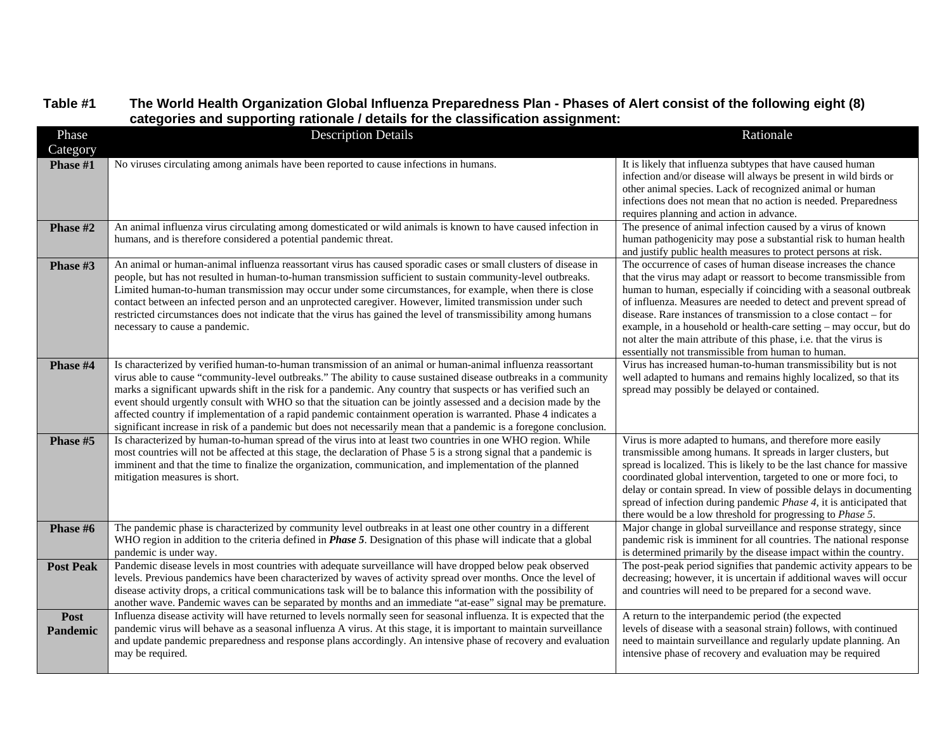#### **Table #1 The World Health Organization Global Influenza Preparedness Plan - Phases of Alert consist of the following eight (8) categories and supporting rationale / details for the classification assignment:**

| Phase            | <b>Description Details</b>                                                                                                                                                                                                                                                                                                                                                                                                                                                                                                                                                                                                                                                                                    | Rationale                                                                                                                                                                                                                                                                                                                                                                                                                                                                                                                                          |
|------------------|---------------------------------------------------------------------------------------------------------------------------------------------------------------------------------------------------------------------------------------------------------------------------------------------------------------------------------------------------------------------------------------------------------------------------------------------------------------------------------------------------------------------------------------------------------------------------------------------------------------------------------------------------------------------------------------------------------------|----------------------------------------------------------------------------------------------------------------------------------------------------------------------------------------------------------------------------------------------------------------------------------------------------------------------------------------------------------------------------------------------------------------------------------------------------------------------------------------------------------------------------------------------------|
| Category         |                                                                                                                                                                                                                                                                                                                                                                                                                                                                                                                                                                                                                                                                                                               |                                                                                                                                                                                                                                                                                                                                                                                                                                                                                                                                                    |
| Phase #1         | No viruses circulating among animals have been reported to cause infections in humans.                                                                                                                                                                                                                                                                                                                                                                                                                                                                                                                                                                                                                        | It is likely that influenza subtypes that have caused human<br>infection and/or disease will always be present in wild birds or<br>other animal species. Lack of recognized animal or human<br>infections does not mean that no action is needed. Preparedness<br>requires planning and action in advance.                                                                                                                                                                                                                                         |
| Phase #2         | An animal influenza virus circulating among domesticated or wild animals is known to have caused infection in<br>humans, and is therefore considered a potential pandemic threat.                                                                                                                                                                                                                                                                                                                                                                                                                                                                                                                             | The presence of animal infection caused by a virus of known<br>human pathogenicity may pose a substantial risk to human health<br>and justify public health measures to protect persons at risk.                                                                                                                                                                                                                                                                                                                                                   |
| Phase #3         | An animal or human-animal influenza reassortant virus has caused sporadic cases or small clusters of disease in<br>people, but has not resulted in human-to-human transmission sufficient to sustain community-level outbreaks.<br>Limited human-to-human transmission may occur under some circumstances, for example, when there is close<br>contact between an infected person and an unprotected caregiver. However, limited transmission under such<br>restricted circumstances does not indicate that the virus has gained the level of transmissibility among humans<br>necessary to cause a pandemic.                                                                                                 | The occurrence of cases of human disease increases the chance<br>that the virus may adapt or reassort to become transmissible from<br>human to human, especially if coinciding with a seasonal outbreak<br>of influenza. Measures are needed to detect and prevent spread of<br>disease. Rare instances of transmission to a close contact – for<br>example, in a household or health-care setting - may occur, but do<br>not alter the main attribute of this phase, i.e. that the virus is<br>essentially not transmissible from human to human. |
| Phase #4         | Is characterized by verified human-to-human transmission of an animal or human-animal influenza reassortant<br>virus able to cause "community-level outbreaks." The ability to cause sustained disease outbreaks in a community<br>marks a significant upwards shift in the risk for a pandemic. Any country that suspects or has verified such an<br>event should urgently consult with WHO so that the situation can be jointly assessed and a decision made by the<br>affected country if implementation of a rapid pandemic containment operation is warranted. Phase 4 indicates a<br>significant increase in risk of a pandemic but does not necessarily mean that a pandemic is a foregone conclusion. | Virus has increased human-to-human transmissibility but is not<br>well adapted to humans and remains highly localized, so that its<br>spread may possibly be delayed or contained.                                                                                                                                                                                                                                                                                                                                                                 |
| Phase #5         | Is characterized by human-to-human spread of the virus into at least two countries in one WHO region. While<br>most countries will not be affected at this stage, the declaration of Phase 5 is a strong signal that a pandemic is<br>imminent and that the time to finalize the organization, communication, and implementation of the planned<br>mitigation measures is short.                                                                                                                                                                                                                                                                                                                              | Virus is more adapted to humans, and therefore more easily<br>transmissible among humans. It spreads in larger clusters, but<br>spread is localized. This is likely to be the last chance for massive<br>coordinated global intervention, targeted to one or more foci, to<br>delay or contain spread. In view of possible delays in documenting<br>spread of infection during pandemic Phase 4, it is anticipated that<br>there would be a low threshold for progressing to Phase 5.                                                              |
| Phase #6         | The pandemic phase is characterized by community level outbreaks in at least one other country in a different<br>WHO region in addition to the criteria defined in <b>Phase 5</b> . Designation of this phase will indicate that a global<br>pandemic is under way.                                                                                                                                                                                                                                                                                                                                                                                                                                           | Major change in global surveillance and response strategy, since<br>pandemic risk is imminent for all countries. The national response<br>is determined primarily by the disease impact within the country.                                                                                                                                                                                                                                                                                                                                        |
| <b>Post Peak</b> | Pandemic disease levels in most countries with adequate surveillance will have dropped below peak observed<br>levels. Previous pandemics have been characterized by waves of activity spread over months. Once the level of<br>disease activity drops, a critical communications task will be to balance this information with the possibility of<br>another wave. Pandemic waves can be separated by months and an immediate "at-ease" signal may be premature.                                                                                                                                                                                                                                              | The post-peak period signifies that pandemic activity appears to be<br>decreasing; however, it is uncertain if additional waves will occur<br>and countries will need to be prepared for a second wave.                                                                                                                                                                                                                                                                                                                                            |
| Post<br>Pandemic | Influenza disease activity will have returned to levels normally seen for seasonal influenza. It is expected that the<br>pandemic virus will behave as a seasonal influenza A virus. At this stage, it is important to maintain surveillance<br>and update pandemic preparedness and response plans accordingly. An intensive phase of recovery and evaluation<br>may be required.                                                                                                                                                                                                                                                                                                                            | A return to the interpandemic period (the expected<br>levels of disease with a seasonal strain) follows, with continued<br>need to maintain surveillance and regularly update planning. An<br>intensive phase of recovery and evaluation may be required                                                                                                                                                                                                                                                                                           |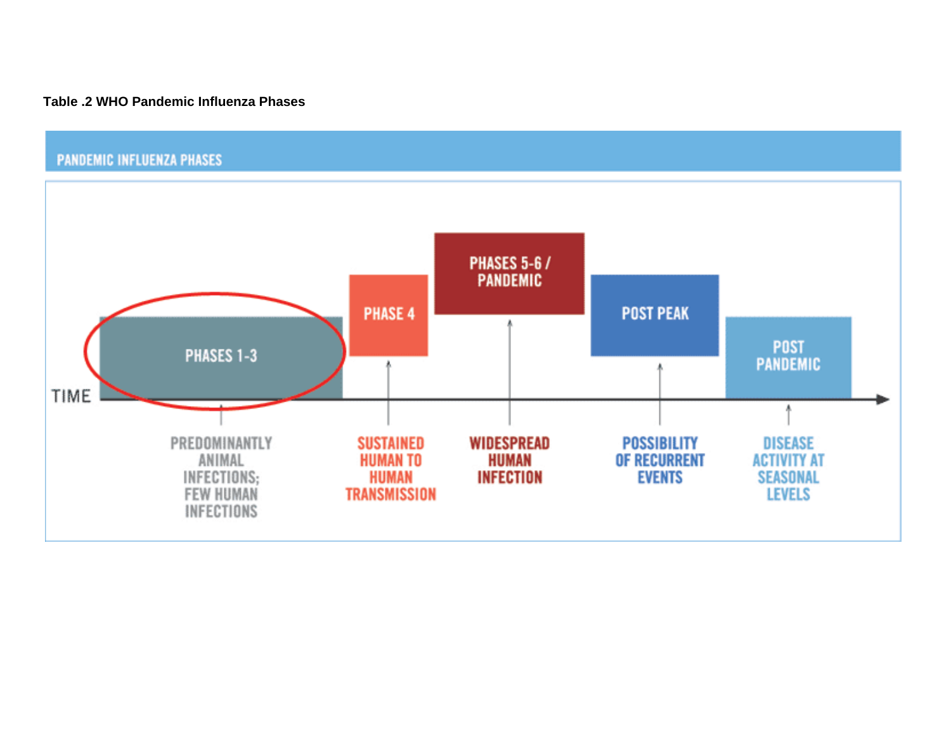### **Table .2 WHO Pandemic Influenza Phases**

## **PANDEMIC INFLUENZA PHASES**

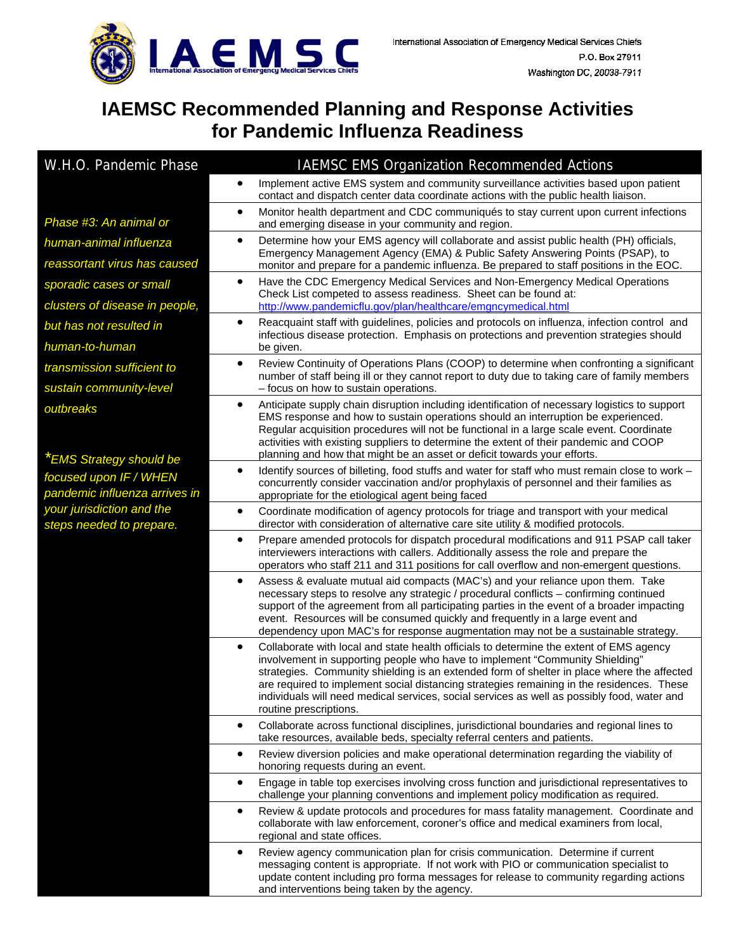

# **IAEMSC Recommended Planning and Response Activities for Pandemic Influenza Readiness**

| W.H.O. Pandemic Phase                                                  | <b>IAEMSC EMS Organization Recommended Actions</b>                                                                                                                                                                                                                                                                                                                                                                                                                                                       |
|------------------------------------------------------------------------|----------------------------------------------------------------------------------------------------------------------------------------------------------------------------------------------------------------------------------------------------------------------------------------------------------------------------------------------------------------------------------------------------------------------------------------------------------------------------------------------------------|
| $\bullet$                                                              | Implement active EMS system and community surveillance activities based upon patient<br>contact and dispatch center data coordinate actions with the public health liaison.                                                                                                                                                                                                                                                                                                                              |
| Phase #3: An animal or                                                 | Monitor health department and CDC communiqués to stay current upon current infections<br>and emerging disease in your community and region.                                                                                                                                                                                                                                                                                                                                                              |
| human-animal influenza                                                 | Determine how your EMS agency will collaborate and assist public health (PH) officials,<br>Emergency Management Agency (EMA) & Public Safety Answering Points (PSAP), to                                                                                                                                                                                                                                                                                                                                 |
| reassortant virus has caused                                           | monitor and prepare for a pandemic influenza. Be prepared to staff positions in the EOC.                                                                                                                                                                                                                                                                                                                                                                                                                 |
| $\bullet$<br>sporadic cases or small<br>clusters of disease in people, | Have the CDC Emergency Medical Services and Non-Emergency Medical Operations<br>Check List competed to assess readiness. Sheet can be found at:<br>http://www.pandemicflu.gov/plan/healthcare/emgncymedical.html                                                                                                                                                                                                                                                                                         |
| $\bullet$<br>but has not resulted in                                   | Reacquaint staff with guidelines, policies and protocols on influenza, infection control and<br>infectious disease protection. Emphasis on protections and prevention strategies should                                                                                                                                                                                                                                                                                                                  |
| human-to-human                                                         | be given.                                                                                                                                                                                                                                                                                                                                                                                                                                                                                                |
| $\bullet$<br>transmission sufficient to                                | Review Continuity of Operations Plans (COOP) to determine when confronting a significant<br>number of staff being ill or they cannot report to duty due to taking care of family members                                                                                                                                                                                                                                                                                                                 |
| sustain community-level                                                | - focus on how to sustain operations.                                                                                                                                                                                                                                                                                                                                                                                                                                                                    |
| outbreaks<br><b><i>*EMS Strategy should be</i></b>                     | Anticipate supply chain disruption including identification of necessary logistics to support<br>EMS response and how to sustain operations should an interruption be experienced.<br>Regular acquisition procedures will not be functional in a large scale event. Coordinate<br>activities with existing suppliers to determine the extent of their pandemic and COOP<br>planning and how that might be an asset or deficit towards your efforts.                                                      |
| $\bullet$<br>focused upon IF / WHEN<br>pandemic influenza arrives in   | Identify sources of billeting, food stuffs and water for staff who must remain close to work -<br>concurrently consider vaccination and/or prophylaxis of personnel and their families as<br>appropriate for the etiological agent being faced                                                                                                                                                                                                                                                           |
| your jurisdiction and the<br>steps needed to prepare.                  | Coordinate modification of agency protocols for triage and transport with your medical<br>$\bullet$<br>director with consideration of alternative care site utility & modified protocols.                                                                                                                                                                                                                                                                                                                |
|                                                                        | Prepare amended protocols for dispatch procedural modifications and 911 PSAP call taker<br>$\bullet$<br>interviewers interactions with callers. Additionally assess the role and prepare the<br>operators who staff 211 and 311 positions for call overflow and non-emergent questions.                                                                                                                                                                                                                  |
|                                                                        | Assess & evaluate mutual aid compacts (MAC's) and your reliance upon them. Take<br>$\bullet$<br>necessary steps to resolve any strategic / procedural conflicts - confirming continued<br>support of the agreement from all participating parties in the event of a broader impacting<br>event. Resources will be consumed quickly and frequently in a large event and<br>dependency upon MAC's for response augmentation may not be a sustainable strategy.                                             |
|                                                                        | Collaborate with local and state health officials to determine the extent of EMS agency<br>$\bullet$<br>involvement in supporting people who have to implement "Community Shielding"<br>strategies. Community shielding is an extended form of shelter in place where the affected<br>are required to implement social distancing strategies remaining in the residences. These<br>individuals will need medical services, social services as well as possibly food, water and<br>routine prescriptions. |
| $\bullet$                                                              | Collaborate across functional disciplines, jurisdictional boundaries and regional lines to<br>take resources, available beds, specialty referral centers and patients.                                                                                                                                                                                                                                                                                                                                   |
| ٠                                                                      | Review diversion policies and make operational determination regarding the viability of<br>honoring requests during an event.                                                                                                                                                                                                                                                                                                                                                                            |
| $\bullet$                                                              | Engage in table top exercises involving cross function and jurisdictional representatives to<br>challenge your planning conventions and implement policy modification as required.                                                                                                                                                                                                                                                                                                                       |
| $\bullet$                                                              | Review & update protocols and procedures for mass fatality management. Coordinate and<br>collaborate with law enforcement, coroner's office and medical examiners from local,<br>regional and state offices.                                                                                                                                                                                                                                                                                             |
| $\bullet$                                                              | Review agency communication plan for crisis communication. Determine if current<br>messaging content is appropriate. If not work with PIO or communication specialist to<br>update content including pro forma messages for release to community regarding actions<br>and interventions being taken by the agency.                                                                                                                                                                                       |